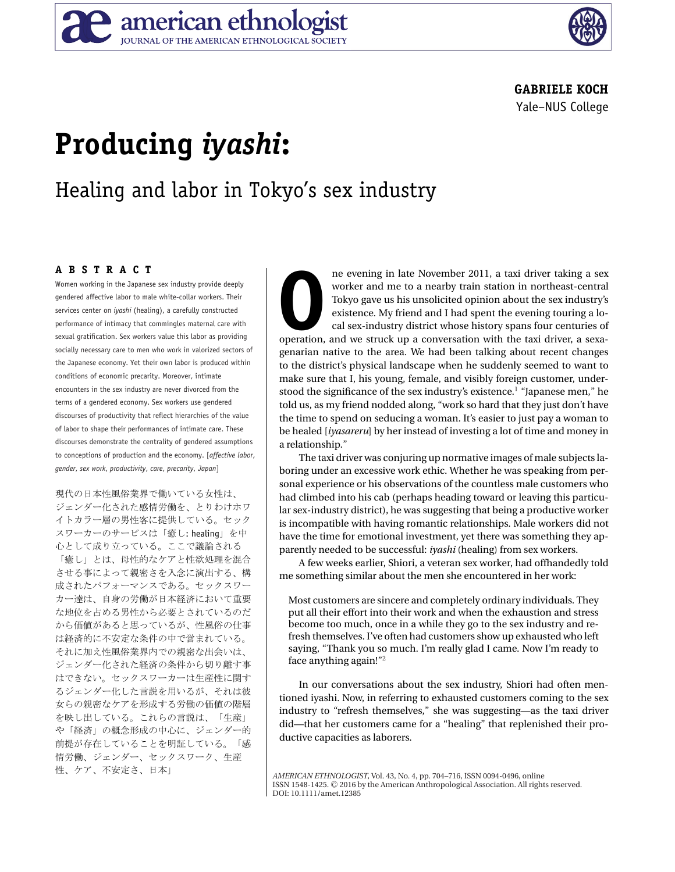

### **GABRIELE KOCH** Yale–NUS College

# **Producing** *iyashi***:**

## Healing and labor in Tokyo's sex industry

#### **ABSTRACT**

Women working in the Japanese sex industry provide deeply gendered affective labor to male white-collar workers. Their services center on *iyashi* (healing), a carefully constructed performance of intimacy that commingles maternal care with sexual gratification. Sex workers value this labor as providing socially necessary care to men who work in valorized sectors of the Japanese economy. Yet their own labor is produced within conditions of economic precarity. Moreover, intimate encounters in the sex industry are never divorced from the terms of a gendered economy. Sex workers use gendered discourses of productivity that reflect hierarchies of the value of labor to shape their performances of intimate care. These discourses demonstrate the centrality of gendered assumptions to conceptions of production and the economy. [*affective labor*, *gender*, *sex work*, *productivity*, *care*, *precarity*, *Japan*] - $\ddot{\phantom{0}}$  $\ddot{\phantom{0}}$ -

--- --現代の日本性風俗業界で働いている女性は、<br>ジェンダー化された感情労働を、とりわけホワ<br>イトカラー層の男性客に提供している。セック - ! #
\$"%-イトカラー層の男性客に提供している。セック<br>スワーカーのサービスは「癒し: healing」を中<br>心として成り立っている。ここで議論される 、<br>心として成り立っている。ここで議論される<br>「癒し」とは、母性的なケアと性欲処理を混 -ーーー・・・・・・・・・。<br>「癒し」とは、母性的なケアと性欲処理を混合<br>させる事によって親密さを入念に演出する、構 させる事によって親密さを入念に演出する、構 /01
2"3 !" -----4----5-の労働が日本経済において重 、、、、、、、、、、、、、、、。。。。<br>カー達は、自身の労働が日本経済において重<br>な地位を占める男性から必要とされているの - コー・・・・・・・・・・・・・・・・・・・・・・・・・・・・・・・・。<br>な地位を占める男性から必要とされているのだ<br>から価値があると思っているが、性風俗の仕事 の仕 --)--: ;<------) 。<br>- に加え性風俗業界内での親密な出会い<br>ンダー化された経済の条件から切り離 -. =) !" --.  -4; --)\*+-.---らの親密なケアを形成する労働の価値の階) っ.<br>女らの親密なケアを形成する労働の価値の階層<br>を映し出している。これらの言説は、「生産」 >%-&--  -4(%- $\mathbf{u}$  --
 !"
! -\*+--性、ケア、不安定さ、日本」

**OPER THE NOVEMBER 10** ne evening in late November 2011, a taxi driver taking a sex worker and me to a nearby train station in northeast-central Tokyo gave us his unsolicited opinion about the sex industry's existence. My worker and me to a nearby train station in northeast-central Tokyo gave us his unsolicited opinion about the sex industry's existence. My friend and I had spent the evening touring a local sex-industry district whose history spans four centuries of genarian native to the area. We had been talking about recent changes to the district's physical landscape when he suddenly seemed to want to make sure that I, his young, female, and visibly foreign customer, understood the significance of the sex industry's existence.1 "Japanese men," he told us, as my friend nodded along, "work so hard that they just don't have the time to spend on seducing a woman. It's easier to just pay a woman to be healed [*iyasareru*] by her instead of investing a lot of time and money in a relationship."

The taxi driver was conjuring up normative images of male subjects laboring under an excessive work ethic. Whether he was speaking from personal experience or his observations of the countless male customers who had climbed into his cab (perhaps heading toward or leaving this particular sex-industry district), he was suggesting that being a productive worker is incompatible with having romantic relationships. Male workers did not have the time for emotional investment, yet there was something they apparently needed to be successful: *iyashi* (healing) from sex workers.

A few weeks earlier, Shiori, a veteran sex worker, had offhandedly told me something similar about the men she encountered in her work:

Most customers are sincere and completely ordinary individuals. They put all their effort into their work and when the exhaustion and stress become too much, once in a while they go to the sex industry and refresh themselves. I've often had customers show up exhausted who left saying, "Thank you so much. I'm really glad I came. Now I'm ready to face anything again!"2

In our conversations about the sex industry, Shiori had often mentioned iyashi. Now, in referring to exhausted customers coming to the sex industry to "refresh themselves," she was suggesting—as the taxi driver did—that her customers came for a "healing" that replenished their productive capacities as laborers.

*AMERICAN ETHNOLOGIST*, Vol. 43, No. 4, pp. 704–716, ISSN 0094-0496, online ISSN 1548-1425. © 2016 by the American Anthropological Association. All rights reserved. DOI: 10.1111/amet.12385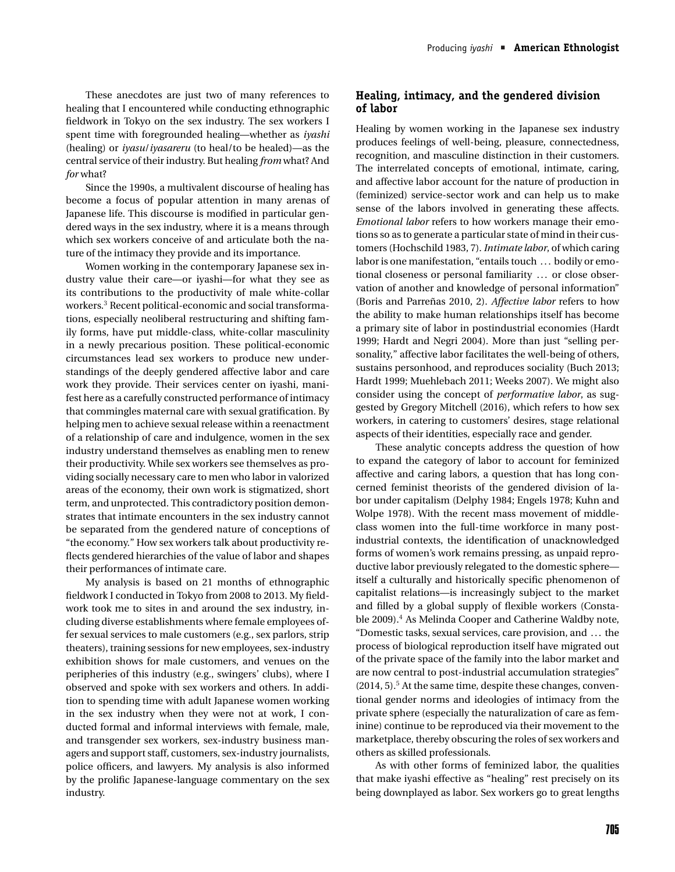These anecdotes are just two of many references to healing that I encountered while conducting ethnographic fieldwork in Tokyo on the sex industry. The sex workers I spent time with foregrounded healing—whether as *iyashi* (healing) or *iyasu*/*iyasareru* (to heal/to be healed)—as the central service of their industry. But healing *from* what? And *for* what?

Since the 1990s, a multivalent discourse of healing has become a focus of popular attention in many arenas of Japanese life. This discourse is modified in particular gendered ways in the sex industry, where it is a means through which sex workers conceive of and articulate both the nature of the intimacy they provide and its importance.

Women working in the contemporary Japanese sex industry value their care—or iyashi—for what they see as its contributions to the productivity of male white-collar workers.3 Recent political-economic and social transformations, especially neoliberal restructuring and shifting family forms, have put middle-class, white-collar masculinity in a newly precarious position. These political-economic circumstances lead sex workers to produce new understandings of the deeply gendered affective labor and care work they provide. Their services center on iyashi, manifest here as a carefully constructed performance of intimacy that commingles maternal care with sexual gratification. By helping men to achieve sexual release within a reenactment of a relationship of care and indulgence, women in the sex industry understand themselves as enabling men to renew their productivity. While sex workers see themselves as providing socially necessary care to men who labor in valorized areas of the economy, their own work is stigmatized, short term, and unprotected. This contradictory position demonstrates that intimate encounters in the sex industry cannot be separated from the gendered nature of conceptions of "the economy." How sex workers talk about productivity reflects gendered hierarchies of the value of labor and shapes their performances of intimate care.

My analysis is based on 21 months of ethnographic fieldwork I conducted in Tokyo from 2008 to 2013. My fieldwork took me to sites in and around the sex industry, including diverse establishments where female employees offer sexual services to male customers (e.g., sex parlors, strip theaters), training sessions for new employees, sex-industry exhibition shows for male customers, and venues on the peripheries of this industry (e.g., swingers' clubs), where I observed and spoke with sex workers and others. In addition to spending time with adult Japanese women working in the sex industry when they were not at work, I conducted formal and informal interviews with female, male, and transgender sex workers, sex-industry business managers and support staff, customers, sex-industry journalists, police officers, and lawyers. My analysis is also informed by the prolific Japanese-language commentary on the sex industry.

#### **Healing, intimacy, and the gendered division of labor**

Healing by women working in the Japanese sex industry produces feelings of well-being, pleasure, connectedness, recognition, and masculine distinction in their customers. The interrelated concepts of emotional, intimate, caring, and affective labor account for the nature of production in (feminized) service-sector work and can help us to make sense of the labors involved in generating these affects. *Emotional labor* refers to how workers manage their emotions so as to generate a particular state of mind in their customers (Hochschild 1983, 7). *Intimate labor*, of which caring labor is one manifestation, "entails touch ... bodily or emotional closeness or personal familiarity ... or close observation of another and knowledge of personal information" (Boris and Parreñas 2010, 2). *Affective labor* refers to how the ability to make human relationships itself has become a primary site of labor in postindustrial economies (Hardt 1999; Hardt and Negri 2004). More than just "selling personality," affective labor facilitates the well-being of others, sustains personhood, and reproduces sociality (Buch 2013; Hardt 1999; Muehlebach 2011; Weeks 2007). We might also consider using the concept of *performative labor*, as suggested by Gregory Mitchell (2016), which refers to how sex workers, in catering to customers' desires, stage relational aspects of their identities, especially race and gender.

These analytic concepts address the question of how to expand the category of labor to account for feminized affective and caring labors, a question that has long concerned feminist theorists of the gendered division of labor under capitalism (Delphy 1984; Engels 1978; Kuhn and Wolpe 1978). With the recent mass movement of middleclass women into the full-time workforce in many postindustrial contexts, the identification of unacknowledged forms of women's work remains pressing, as unpaid reproductive labor previously relegated to the domestic sphere itself a culturally and historically specific phenomenon of capitalist relations—is increasingly subject to the market and filled by a global supply of flexible workers (Constable 2009).<sup>4</sup> As Melinda Cooper and Catherine Waldby note, "Domestic tasks, sexual services, care provision, and . . . the process of biological reproduction itself have migrated out of the private space of the family into the labor market and are now central to post-industrial accumulation strategies"  $(2014, 5)$ .<sup>5</sup> At the same time, despite these changes, conventional gender norms and ideologies of intimacy from the private sphere (especially the naturalization of care as feminine) continue to be reproduced via their movement to the marketplace, thereby obscuring the roles of sex workers and others as skilled professionals.

As with other forms of feminized labor, the qualities that make iyashi effective as "healing" rest precisely on its being downplayed as labor. Sex workers go to great lengths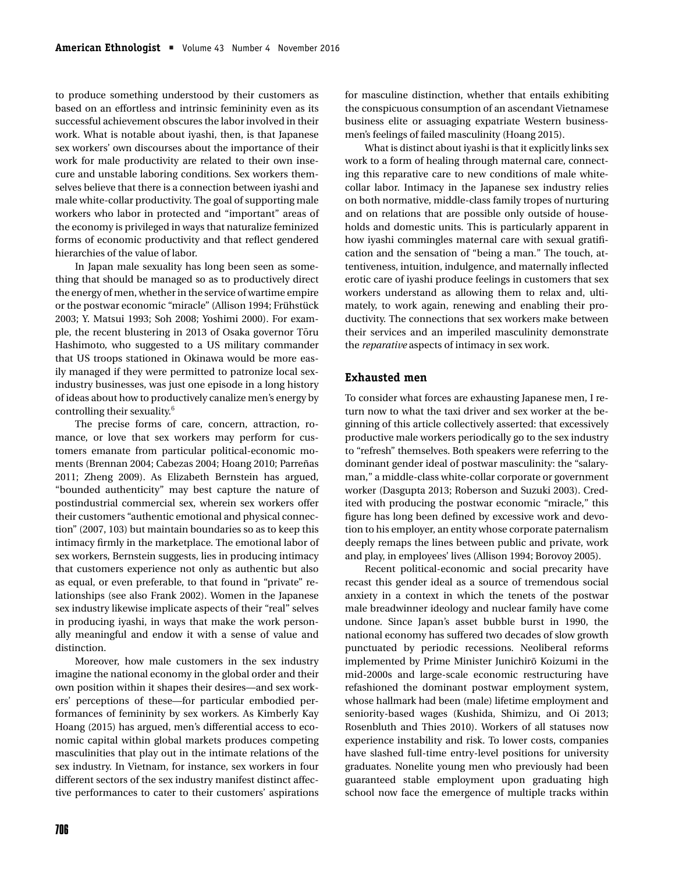to produce something understood by their customers as based on an effortless and intrinsic femininity even as its successful achievement obscures the labor involved in their work. What is notable about iyashi, then, is that Japanese sex workers' own discourses about the importance of their work for male productivity are related to their own insecure and unstable laboring conditions. Sex workers themselves believe that there is a connection between iyashi and male white-collar productivity. The goal of supporting male workers who labor in protected and "important" areas of the economy is privileged in ways that naturalize feminized forms of economic productivity and that reflect gendered hierarchies of the value of labor.

In Japan male sexuality has long been seen as something that should be managed so as to productively direct the energy of men, whether in the service of wartime empire or the postwar economic "miracle" (Allison 1994; Frühstück 2003; Y. Matsui 1993; Soh 2008; Yoshimi 2000). For example, the recent blustering in 2013 of Osaka governor Tōru Hashimoto, who suggested to a US military commander that US troops stationed in Okinawa would be more easily managed if they were permitted to patronize local sexindustry businesses, was just one episode in a long history of ideas about how to productively canalize men's energy by controlling their sexuality.6

The precise forms of care, concern, attraction, romance, or love that sex workers may perform for customers emanate from particular political-economic moments (Brennan 2004; Cabezas 2004; Hoang 2010; Parreñas 2011; Zheng 2009). As Elizabeth Bernstein has argued, "bounded authenticity" may best capture the nature of postindustrial commercial sex, wherein sex workers offer their customers "authentic emotional and physical connection" (2007, 103) but maintain boundaries so as to keep this intimacy firmly in the marketplace. The emotional labor of sex workers, Bernstein suggests, lies in producing intimacy that customers experience not only as authentic but also as equal, or even preferable, to that found in "private" relationships (see also Frank 2002). Women in the Japanese sex industry likewise implicate aspects of their "real" selves in producing iyashi, in ways that make the work personally meaningful and endow it with a sense of value and distinction.

Moreover, how male customers in the sex industry imagine the national economy in the global order and their own position within it shapes their desires—and sex workers' perceptions of these—for particular embodied performances of femininity by sex workers. As Kimberly Kay Hoang (2015) has argued, men's differential access to economic capital within global markets produces competing masculinities that play out in the intimate relations of the sex industry. In Vietnam, for instance, sex workers in four different sectors of the sex industry manifest distinct affective performances to cater to their customers' aspirations for masculine distinction, whether that entails exhibiting the conspicuous consumption of an ascendant Vietnamese business elite or assuaging expatriate Western businessmen's feelings of failed masculinity (Hoang 2015).

What is distinct about iyashi is that it explicitly links sex work to a form of healing through maternal care, connecting this reparative care to new conditions of male whitecollar labor. Intimacy in the Japanese sex industry relies on both normative, middle-class family tropes of nurturing and on relations that are possible only outside of households and domestic units. This is particularly apparent in how iyashi commingles maternal care with sexual gratification and the sensation of "being a man." The touch, attentiveness, intuition, indulgence, and maternally inflected erotic care of iyashi produce feelings in customers that sex workers understand as allowing them to relax and, ultimately, to work again, renewing and enabling their productivity. The connections that sex workers make between their services and an imperiled masculinity demonstrate the *reparative* aspects of intimacy in sex work.

#### **Exhausted men**

To consider what forces are exhausting Japanese men, I return now to what the taxi driver and sex worker at the beginning of this article collectively asserted: that excessively productive male workers periodically go to the sex industry to "refresh" themselves. Both speakers were referring to the dominant gender ideal of postwar masculinity: the "salaryman," a middle-class white-collar corporate or government worker (Dasgupta 2013; Roberson and Suzuki 2003). Credited with producing the postwar economic "miracle," this figure has long been defined by excessive work and devotion to his employer, an entity whose corporate paternalism deeply remaps the lines between public and private, work and play, in employees' lives (Allison 1994; Borovoy 2005).

Recent political-economic and social precarity have recast this gender ideal as a source of tremendous social anxiety in a context in which the tenets of the postwar male breadwinner ideology and nuclear family have come undone. Since Japan's asset bubble burst in 1990, the national economy has suffered two decades of slow growth punctuated by periodic recessions. Neoliberal reforms implemented by Prime Minister Junichiro Koizumi in the mid-2000s and large-scale economic restructuring have refashioned the dominant postwar employment system, whose hallmark had been (male) lifetime employment and seniority-based wages (Kushida, Shimizu, and Oi 2013; Rosenbluth and Thies 2010). Workers of all statuses now experience instability and risk. To lower costs, companies have slashed full-time entry-level positions for university graduates. Nonelite young men who previously had been guaranteed stable employment upon graduating high school now face the emergence of multiple tracks within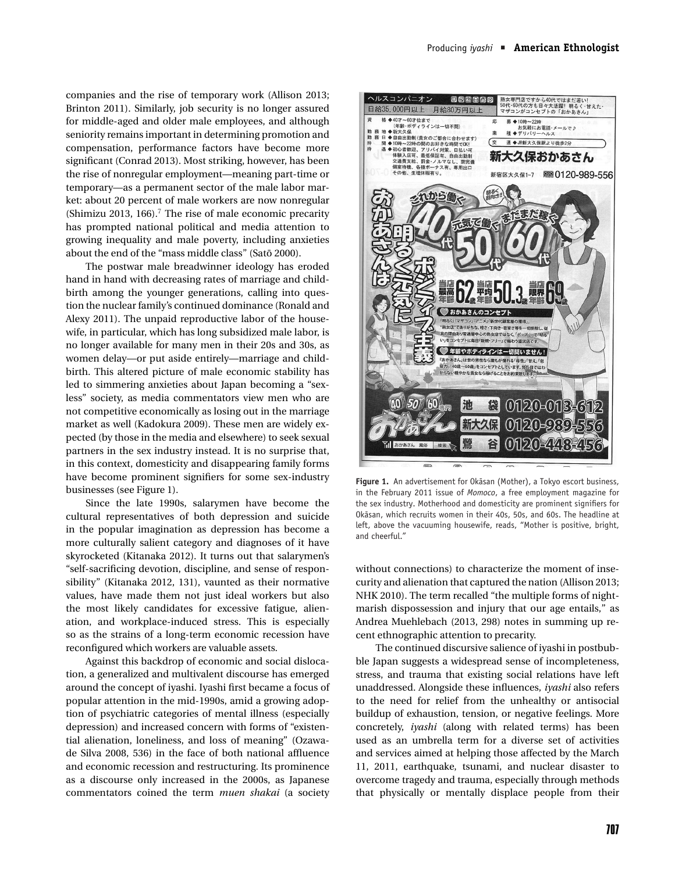companies and the rise of temporary work (Allison 2013; Brinton 2011). Similarly, job security is no longer assured for middle-aged and older male employees, and although seniority remains important in determining promotion and compensation, performance factors have become more significant (Conrad 2013). Most striking, however, has been the rise of nonregular employment—meaning part-time or temporary—as a permanent sector of the male labor market: about 20 percent of male workers are now nonregular (Shimizu 2013, 166).<sup>7</sup> The rise of male economic precarity has prompted national political and media attention to growing inequality and male poverty, including anxieties about the end of the "mass middle class" (Satō 2000).

The postwar male breadwinner ideology has eroded hand in hand with decreasing rates of marriage and childbirth among the younger generations, calling into question the nuclear family's continued dominance (Ronald and Alexy 2011). The unpaid reproductive labor of the housewife, in particular, which has long subsidized male labor, is no longer available for many men in their 20s and 30s, as women delay—or put aside entirely—marriage and childbirth. This altered picture of male economic stability has led to simmering anxieties about Japan becoming a "sexless" society, as media commentators view men who are not competitive economically as losing out in the marriage market as well (Kadokura 2009). These men are widely expected (by those in the media and elsewhere) to seek sexual partners in the sex industry instead. It is no surprise that, in this context, domesticity and disappearing family forms have become prominent signifiers for some sex-industry businesses (see Figure 1).

Since the late 1990s, salarymen have become the cultural representatives of both depression and suicide in the popular imagination as depression has become a more culturally salient category and diagnoses of it have skyrocketed (Kitanaka 2012). It turns out that salarymen's "self-sacrificing devotion, discipline, and sense of responsibility" (Kitanaka 2012, 131), vaunted as their normative values, have made them not just ideal workers but also the most likely candidates for excessive fatigue, alienation, and workplace-induced stress. This is especially so as the strains of a long-term economic recession have reconfigured which workers are valuable assets.

Against this backdrop of economic and social dislocation, a generalized and multivalent discourse has emerged around the concept of iyashi. Iyashi first became a focus of popular attention in the mid-1990s, amid a growing adoption of psychiatric categories of mental illness (especially depression) and increased concern with forms of "existential alienation, loneliness, and loss of meaning" (Ozawade Silva 2008, 536) in the face of both national affluence and economic recession and restructuring. Its prominence as a discourse only increased in the 2000s, as Japanese commentators coined the term *muen shakai* (a society



Figure 1. An advertisement for Okasan (Mother), a Tokyo escort business, in the February 2011 issue of *Momoco*, a free employment magazine for the sex industry. Motherhood and domesticity are prominent signifiers for Okāsan, which recruits women in their 40s, 50s, and 60s. The headline at left, above the vacuuming housewife, reads, "Mother is positive, bright, and cheerful."

without connections) to characterize the moment of insecurity and alienation that captured the nation (Allison 2013; NHK 2010). The term recalled "the multiple forms of nightmarish dispossession and injury that our age entails," as Andrea Muehlebach (2013, 298) notes in summing up recent ethnographic attention to precarity.

The continued discursive salience of iyashi in postbubble Japan suggests a widespread sense of incompleteness, stress, and trauma that existing social relations have left unaddressed. Alongside these influences, *iyashi* also refers to the need for relief from the unhealthy or antisocial buildup of exhaustion, tension, or negative feelings. More concretely, *iyashi* (along with related terms) has been used as an umbrella term for a diverse set of activities and services aimed at helping those affected by the March 11, 2011, earthquake, tsunami, and nuclear disaster to overcome tragedy and trauma, especially through methods that physically or mentally displace people from their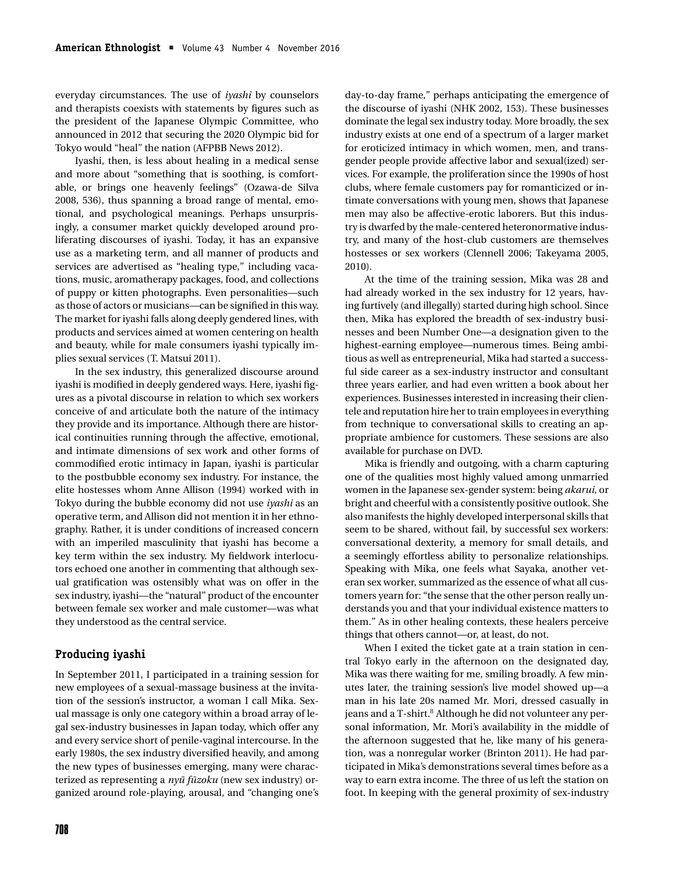everyday circumstances. The use of *iyashi* by counselors and therapists coexists with statements by figures such as the president of the Japanese Olympic Committee, who announced in 2012 that securing the 2020 Olympic bid for Tokyo would "heal" the nation (AFPBB News 2012).

Iyashi, then, is less about healing in a medical sense and more about "something that is soothing, is comfortable, or brings one heavenly feelings" (Ozawa-de Silva 2008, 536), thus spanning a broad range of mental, emotional, and psychological meanings. Perhaps unsurprisingly, a consumer market quickly developed around proliferating discourses of iyashi. Today, it has an expansive use as a marketing term, and all manner of products and services are advertised as "healing type," including vacations, music, aromatherapy packages, food, and collections of puppy or kitten photographs. Even personalities—such as those of actors or musicians—can be signified in this way. The market for iyashi falls along deeply gendered lines, with products and services aimed at women centering on health and beauty, while for male consumers iyashi typically implies sexual services (T. Matsui 2011).

In the sex industry, this generalized discourse around iyashi is modified in deeply gendered ways. Here, iyashi figures as a pivotal discourse in relation to which sex workers conceive of and articulate both the nature of the intimacy they provide and its importance. Although there are historical continuities running through the affective, emotional, and intimate dimensions of sex work and other forms of commodified erotic intimacy in Japan, iyashi is particular to the postbubble economy sex industry. For instance, the elite hostesses whom Anne Allison (1994) worked with in Tokyo during the bubble economy did not use *iyashi* as an operative term, and Allison did not mention it in her ethnography. Rather, it is under conditions of increased concern with an imperiled masculinity that iyashi has become a key term within the sex industry. My fieldwork interlocutors echoed one another in commenting that although sexual gratification was ostensibly what was on offer in the sex industry, iyashi—the "natural" product of the encounter between female sex worker and male customer—was what they understood as the central service.

#### **Producing iyashi**

In September 2011, I participated in a training session for new employees of a sexual-massage business at the invitation of the session's instructor, a woman I call Mika. Sexual massage is only one category within a broad array of legal sex-industry businesses in Japan today, which offer any and every service short of penile-vaginal intercourse. In the early 1980s, the sex industry diversified heavily, and among the new types of businesses emerging, many were characterized as representing a *nyū fūzoku* (new sex industry) organized around role-playing, arousal, and "changing one's

day-to-day frame," perhaps anticipating the emergence of the discourse of iyashi (NHK 2002, 153). These businesses dominate the legal sex industry today. More broadly, the sex industry exists at one end of a spectrum of a larger market for eroticized intimacy in which women, men, and transgender people provide affective labor and sexual(ized) services. For example, the proliferation since the 1990s of host clubs, where female customers pay for romanticized or intimate conversations with young men, shows that Japanese men may also be affective-erotic laborers. But this industry is dwarfed by the male-centered heteronormative industry, and many of the host-club customers are themselves hostesses or sex workers (Clennell 2006; Takeyama 2005, 2010).

At the time of the training session, Mika was 28 and had already worked in the sex industry for 12 years, having furtively (and illegally) started during high school. Since then, Mika has explored the breadth of sex-industry businesses and been Number One—a designation given to the highest-earning employee—numerous times. Being ambitious as well as entrepreneurial, Mika had started a successful side career as a sex-industry instructor and consultant three years earlier, and had even written a book about her experiences. Businesses interested in increasing their clientele and reputation hire her to train employees in everything from technique to conversational skills to creating an appropriate ambience for customers. These sessions are also available for purchase on DVD.

Mika is friendly and outgoing, with a charm capturing one of the qualities most highly valued among unmarried women in the Japanese sex-gender system: being *akarui*, or bright and cheerful with a consistently positive outlook. She also manifests the highly developed interpersonal skills that seem to be shared, without fail, by successful sex workers: conversational dexterity, a memory for small details, and a seemingly effortless ability to personalize relationships. Speaking with Mika, one feels what Sayaka, another veteran sex worker, summarized as the essence of what all customers yearn for: "the sense that the other person really understands you and that your individual existence matters to them." As in other healing contexts, these healers perceive things that others cannot—or, at least, do not.

When I exited the ticket gate at a train station in central Tokyo early in the afternoon on the designated day, Mika was there waiting for me, smiling broadly. A few minutes later, the training session's live model showed up—a man in his late 20s named Mr. Mori, dressed casually in jeans and a T-shirt.<sup>8</sup> Although he did not volunteer any personal information, Mr. Mori's availability in the middle of the afternoon suggested that he, like many of his generation, was a nonregular worker (Brinton 2011). He had participated in Mika's demonstrations several times before as a way to earn extra income. The three of us left the station on foot. In keeping with the general proximity of sex-industry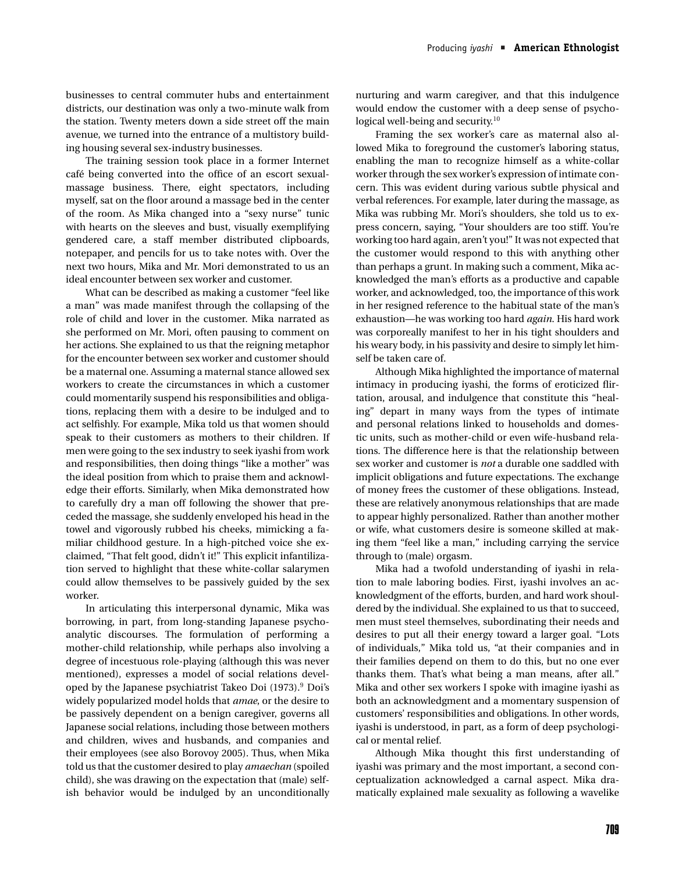businesses to central commuter hubs and entertainment districts, our destination was only a two-minute walk from the station. Twenty meters down a side street off the main avenue, we turned into the entrance of a multistory building housing several sex-industry businesses.

The training session took place in a former Internet cafe being converted into the office of an escort sexual- ´ massage business. There, eight spectators, including myself, sat on the floor around a massage bed in the center of the room. As Mika changed into a "sexy nurse" tunic with hearts on the sleeves and bust, visually exemplifying gendered care, a staff member distributed clipboards, notepaper, and pencils for us to take notes with. Over the next two hours, Mika and Mr. Mori demonstrated to us an ideal encounter between sex worker and customer.

What can be described as making a customer "feel like a man" was made manifest through the collapsing of the role of child and lover in the customer. Mika narrated as she performed on Mr. Mori, often pausing to comment on her actions. She explained to us that the reigning metaphor for the encounter between sex worker and customer should be a maternal one. Assuming a maternal stance allowed sex workers to create the circumstances in which a customer could momentarily suspend his responsibilities and obligations, replacing them with a desire to be indulged and to act selfishly. For example, Mika told us that women should speak to their customers as mothers to their children. If men were going to the sex industry to seek iyashi from work and responsibilities, then doing things "like a mother" was the ideal position from which to praise them and acknowledge their efforts. Similarly, when Mika demonstrated how to carefully dry a man off following the shower that preceded the massage, she suddenly enveloped his head in the towel and vigorously rubbed his cheeks, mimicking a familiar childhood gesture. In a high-pitched voice she exclaimed, "That felt good, didn't it!" This explicit infantilization served to highlight that these white-collar salarymen could allow themselves to be passively guided by the sex worker.

In articulating this interpersonal dynamic, Mika was borrowing, in part, from long-standing Japanese psychoanalytic discourses. The formulation of performing a mother-child relationship, while perhaps also involving a degree of incestuous role-playing (although this was never mentioned), expresses a model of social relations developed by the Japanese psychiatrist Takeo Doi (1973).9 Doi's widely popularized model holds that *amae*, or the desire to be passively dependent on a benign caregiver, governs all Japanese social relations, including those between mothers and children, wives and husbands, and companies and their employees (see also Borovoy 2005). Thus, when Mika told us that the customer desired to play *amaechan* (spoiled child), she was drawing on the expectation that (male) selfish behavior would be indulged by an unconditionally nurturing and warm caregiver, and that this indulgence would endow the customer with a deep sense of psychological well-being and security. $10$ 

Framing the sex worker's care as maternal also allowed Mika to foreground the customer's laboring status, enabling the man to recognize himself as a white-collar worker through the sex worker's expression of intimate concern. This was evident during various subtle physical and verbal references. For example, later during the massage, as Mika was rubbing Mr. Mori's shoulders, she told us to express concern, saying, "Your shoulders are too stiff. You're working too hard again, aren't you!" It was not expected that the customer would respond to this with anything other than perhaps a grunt. In making such a comment, Mika acknowledged the man's efforts as a productive and capable worker, and acknowledged, too, the importance of this work in her resigned reference to the habitual state of the man's exhaustion—he was working too hard *again*. His hard work was corporeally manifest to her in his tight shoulders and his weary body, in his passivity and desire to simply let himself be taken care of.

Although Mika highlighted the importance of maternal intimacy in producing iyashi, the forms of eroticized flirtation, arousal, and indulgence that constitute this "healing" depart in many ways from the types of intimate and personal relations linked to households and domestic units, such as mother-child or even wife-husband relations. The difference here is that the relationship between sex worker and customer is *not* a durable one saddled with implicit obligations and future expectations. The exchange of money frees the customer of these obligations. Instead, these are relatively anonymous relationships that are made to appear highly personalized. Rather than another mother or wife, what customers desire is someone skilled at making them "feel like a man," including carrying the service through to (male) orgasm.

Mika had a twofold understanding of iyashi in relation to male laboring bodies. First, iyashi involves an acknowledgment of the efforts, burden, and hard work shouldered by the individual. She explained to us that to succeed, men must steel themselves, subordinating their needs and desires to put all their energy toward a larger goal. "Lots of individuals," Mika told us, "at their companies and in their families depend on them to do this, but no one ever thanks them. That's what being a man means, after all." Mika and other sex workers I spoke with imagine iyashi as both an acknowledgment and a momentary suspension of customers' responsibilities and obligations. In other words, iyashi is understood, in part, as a form of deep psychological or mental relief.

Although Mika thought this first understanding of iyashi was primary and the most important, a second conceptualization acknowledged a carnal aspect. Mika dramatically explained male sexuality as following a wavelike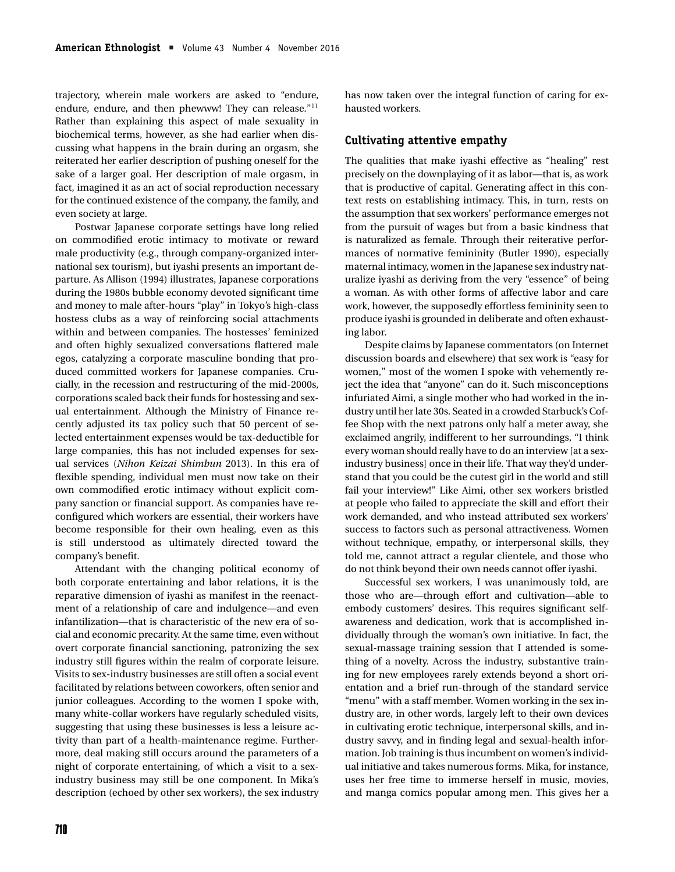trajectory, wherein male workers are asked to "endure, endure, endure, and then phewww! They can release."<sup>11</sup> Rather than explaining this aspect of male sexuality in biochemical terms, however, as she had earlier when discussing what happens in the brain during an orgasm, she reiterated her earlier description of pushing oneself for the sake of a larger goal. Her description of male orgasm, in fact, imagined it as an act of social reproduction necessary for the continued existence of the company, the family, and even society at large.

Postwar Japanese corporate settings have long relied on commodified erotic intimacy to motivate or reward male productivity (e.g., through company-organized international sex tourism), but iyashi presents an important departure. As Allison (1994) illustrates, Japanese corporations during the 1980s bubble economy devoted significant time and money to male after-hours "play" in Tokyo's high-class hostess clubs as a way of reinforcing social attachments within and between companies. The hostesses' feminized and often highly sexualized conversations flattered male egos, catalyzing a corporate masculine bonding that produced committed workers for Japanese companies. Crucially, in the recession and restructuring of the mid-2000s, corporations scaled back their funds for hostessing and sexual entertainment. Although the Ministry of Finance recently adjusted its tax policy such that 50 percent of selected entertainment expenses would be tax-deductible for large companies, this has not included expenses for sexual services (*Nihon Keizai Shimbun* 2013). In this era of flexible spending, individual men must now take on their own commodified erotic intimacy without explicit company sanction or financial support. As companies have reconfigured which workers are essential, their workers have become responsible for their own healing, even as this is still understood as ultimately directed toward the company's benefit.

Attendant with the changing political economy of both corporate entertaining and labor relations, it is the reparative dimension of iyashi as manifest in the reenactment of a relationship of care and indulgence—and even infantilization—that is characteristic of the new era of social and economic precarity. At the same time, even without overt corporate financial sanctioning, patronizing the sex industry still figures within the realm of corporate leisure. Visits to sex-industry businesses are still often a social event facilitated by relations between coworkers, often senior and junior colleagues. According to the women I spoke with, many white-collar workers have regularly scheduled visits, suggesting that using these businesses is less a leisure activity than part of a health-maintenance regime. Furthermore, deal making still occurs around the parameters of a night of corporate entertaining, of which a visit to a sexindustry business may still be one component. In Mika's description (echoed by other sex workers), the sex industry has now taken over the integral function of caring for exhausted workers.

#### **Cultivating attentive empathy**

The qualities that make iyashi effective as "healing" rest precisely on the downplaying of it as labor—that is, as work that is productive of capital. Generating affect in this context rests on establishing intimacy. This, in turn, rests on the assumption that sex workers' performance emerges not from the pursuit of wages but from a basic kindness that is naturalized as female. Through their reiterative performances of normative femininity (Butler 1990), especially maternal intimacy, women in the Japanese sex industry naturalize iyashi as deriving from the very "essence" of being a woman. As with other forms of affective labor and care work, however, the supposedly effortless femininity seen to produce iyashi is grounded in deliberate and often exhausting labor.

Despite claims by Japanese commentators (on Internet discussion boards and elsewhere) that sex work is "easy for women," most of the women I spoke with vehemently reject the idea that "anyone" can do it. Such misconceptions infuriated Aimi, a single mother who had worked in the industry until her late 30s. Seated in a crowded Starbuck's Coffee Shop with the next patrons only half a meter away, she exclaimed angrily, indifferent to her surroundings, "I think every woman should really have to do an interview [at a sexindustry business] once in their life. That way they'd understand that you could be the cutest girl in the world and still fail your interview!" Like Aimi, other sex workers bristled at people who failed to appreciate the skill and effort their work demanded, and who instead attributed sex workers' success to factors such as personal attractiveness. Women without technique, empathy, or interpersonal skills, they told me, cannot attract a regular clientele, and those who do not think beyond their own needs cannot offer iyashi.

Successful sex workers, I was unanimously told, are those who are—through effort and cultivation—able to embody customers' desires. This requires significant selfawareness and dedication, work that is accomplished individually through the woman's own initiative. In fact, the sexual-massage training session that I attended is something of a novelty. Across the industry, substantive training for new employees rarely extends beyond a short orientation and a brief run-through of the standard service "menu" with a staff member. Women working in the sex industry are, in other words, largely left to their own devices in cultivating erotic technique, interpersonal skills, and industry savvy, and in finding legal and sexual-health information. Job training is thus incumbent on women's individual initiative and takes numerous forms. Mika, for instance, uses her free time to immerse herself in music, movies, and manga comics popular among men. This gives her a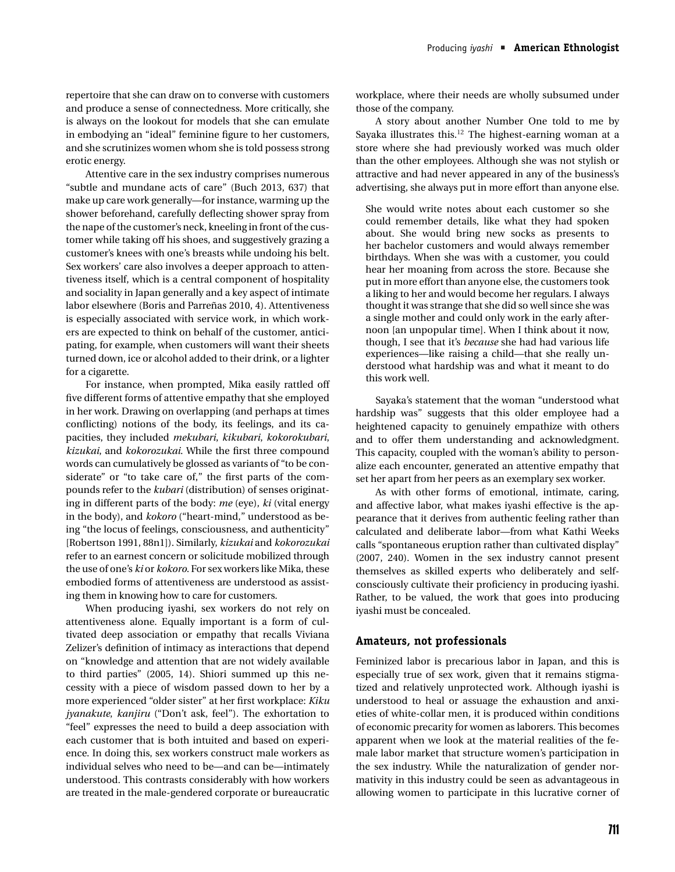repertoire that she can draw on to converse with customers and produce a sense of connectedness. More critically, she is always on the lookout for models that she can emulate in embodying an "ideal" feminine figure to her customers, and she scrutinizes women whom she is told possess strong erotic energy.

Attentive care in the sex industry comprises numerous "subtle and mundane acts of care" (Buch 2013, 637) that make up care work generally—for instance, warming up the shower beforehand, carefully deflecting shower spray from the nape of the customer's neck, kneeling in front of the customer while taking off his shoes, and suggestively grazing a customer's knees with one's breasts while undoing his belt. Sex workers' care also involves a deeper approach to attentiveness itself, which is a central component of hospitality and sociality in Japan generally and a key aspect of intimate labor elsewhere (Boris and Parreñas 2010, 4). Attentiveness is especially associated with service work, in which workers are expected to think on behalf of the customer, anticipating, for example, when customers will want their sheets turned down, ice or alcohol added to their drink, or a lighter for a cigarette.

For instance, when prompted, Mika easily rattled off five different forms of attentive empathy that she employed in her work. Drawing on overlapping (and perhaps at times conflicting) notions of the body, its feelings, and its capacities, they included *mekubari*, *kikubari*, *kokorokubari*, *kizukai*, and *kokorozukai*. While the first three compound words can cumulatively be glossed as variants of "to be considerate" or "to take care of," the first parts of the compounds refer to the *kubari* (distribution) of senses originating in different parts of the body: *me* (eye), *ki* (vital energy in the body), and *kokoro* ("heart-mind," understood as being "the locus of feelings, consciousness, and authenticity" [Robertson 1991, 88n1]). Similarly, *kizukai* and *kokorozukai* refer to an earnest concern or solicitude mobilized through the use of one's *ki* or *kokoro*. For sex workers like Mika, these embodied forms of attentiveness are understood as assisting them in knowing how to care for customers.

When producing iyashi, sex workers do not rely on attentiveness alone. Equally important is a form of cultivated deep association or empathy that recalls Viviana Zelizer's definition of intimacy as interactions that depend on "knowledge and attention that are not widely available to third parties" (2005, 14). Shiori summed up this necessity with a piece of wisdom passed down to her by a more experienced "older sister" at her first workplace: *Kiku jyanakute*, *kanjiru* ("Don't ask, feel"). The exhortation to "feel" expresses the need to build a deep association with each customer that is both intuited and based on experience. In doing this, sex workers construct male workers as individual selves who need to be—and can be—intimately understood. This contrasts considerably with how workers are treated in the male-gendered corporate or bureaucratic workplace, where their needs are wholly subsumed under those of the company.

A story about another Number One told to me by Sayaka illustrates this.<sup>12</sup> The highest-earning woman at a store where she had previously worked was much older than the other employees. Although she was not stylish or attractive and had never appeared in any of the business's advertising, she always put in more effort than anyone else.

She would write notes about each customer so she could remember details, like what they had spoken about. She would bring new socks as presents to her bachelor customers and would always remember birthdays. When she was with a customer, you could hear her moaning from across the store. Because she put in more effort than anyone else, the customers took a liking to her and would become her regulars. I always thought it was strange that she did so well since she was a single mother and could only work in the early afternoon [an unpopular time]. When I think about it now, though, I see that it's *because* she had had various life experiences—like raising a child—that she really understood what hardship was and what it meant to do this work well.

Sayaka's statement that the woman "understood what hardship was" suggests that this older employee had a heightened capacity to genuinely empathize with others and to offer them understanding and acknowledgment. This capacity, coupled with the woman's ability to personalize each encounter, generated an attentive empathy that set her apart from her peers as an exemplary sex worker.

As with other forms of emotional, intimate, caring, and affective labor, what makes iyashi effective is the appearance that it derives from authentic feeling rather than calculated and deliberate labor—from what Kathi Weeks calls "spontaneous eruption rather than cultivated display" (2007, 240). Women in the sex industry cannot present themselves as skilled experts who deliberately and selfconsciously cultivate their proficiency in producing iyashi. Rather, to be valued, the work that goes into producing iyashi must be concealed.

#### **Amateurs, not professionals**

Feminized labor is precarious labor in Japan, and this is especially true of sex work, given that it remains stigmatized and relatively unprotected work. Although iyashi is understood to heal or assuage the exhaustion and anxieties of white-collar men, it is produced within conditions of economic precarity for women as laborers. This becomes apparent when we look at the material realities of the female labor market that structure women's participation in the sex industry. While the naturalization of gender normativity in this industry could be seen as advantageous in allowing women to participate in this lucrative corner of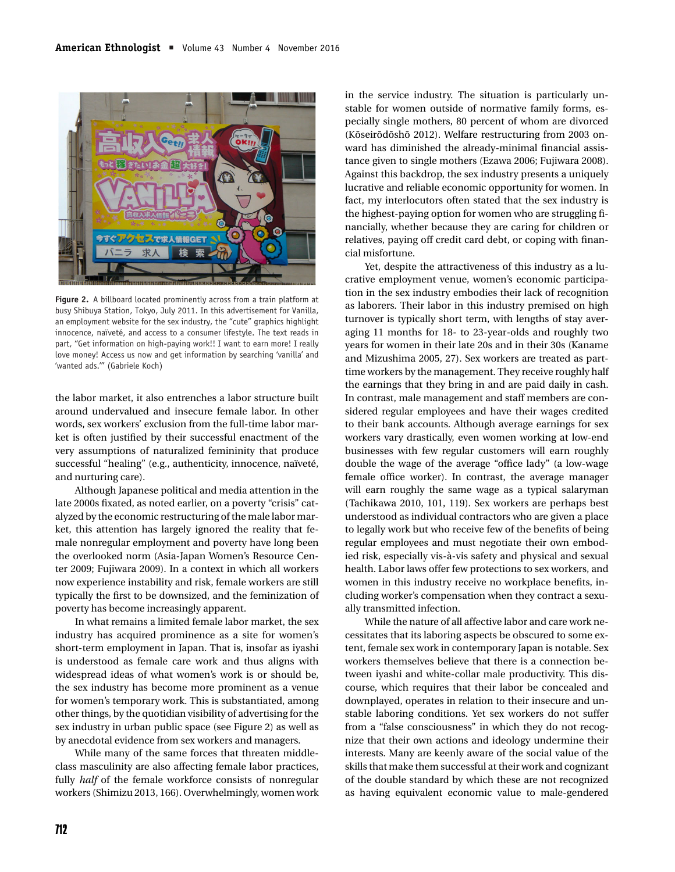

**Figure 2.** A billboard located prominently across from a train platform at busy Shibuya Station, Tokyo, July 2011. In this advertisement for Vanilla, an employment website for the sex industry, the "cute" graphics highlight innocence, naïveté, and access to a consumer lifestyle. The text reads in part, "Get information on high-paying work!! I want to earn more! I really love money! Access us now and get information by searching 'vanilla' and 'wanted ads.'" (Gabriele Koch)

the labor market, it also entrenches a labor structure built around undervalued and insecure female labor. In other words, sex workers' exclusion from the full-time labor market is often justified by their successful enactment of the very assumptions of naturalized femininity that produce successful "healing" (e.g., authenticity, innocence, naïveté, and nurturing care).

Although Japanese political and media attention in the late 2000s fixated, as noted earlier, on a poverty "crisis" catalyzed by the economic restructuring of the male labor market, this attention has largely ignored the reality that female nonregular employment and poverty have long been the overlooked norm (Asia-Japan Women's Resource Center 2009; Fujiwara 2009). In a context in which all workers now experience instability and risk, female workers are still typically the first to be downsized, and the feminization of poverty has become increasingly apparent.

In what remains a limited female labor market, the sex industry has acquired prominence as a site for women's short-term employment in Japan. That is, insofar as iyashi is understood as female care work and thus aligns with widespread ideas of what women's work is or should be, the sex industry has become more prominent as a venue for women's temporary work. This is substantiated, among other things, by the quotidian visibility of advertising for the sex industry in urban public space (see Figure 2) as well as by anecdotal evidence from sex workers and managers.

While many of the same forces that threaten middleclass masculinity are also affecting female labor practices, fully *half* of the female workforce consists of nonregular workers (Shimizu 2013, 166). Overwhelmingly, women work in the service industry. The situation is particularly unstable for women outside of normative family forms, especially single mothers, 80 percent of whom are divorced (Kōseirōdōshō 2012). Welfare restructuring from 2003 onward has diminished the already-minimal financial assistance given to single mothers (Ezawa 2006; Fujiwara 2008). Against this backdrop, the sex industry presents a uniquely lucrative and reliable economic opportunity for women. In fact, my interlocutors often stated that the sex industry is the highest-paying option for women who are struggling financially, whether because they are caring for children or relatives, paying off credit card debt, or coping with financial misfortune.

Yet, despite the attractiveness of this industry as a lucrative employment venue, women's economic participation in the sex industry embodies their lack of recognition as laborers. Their labor in this industry premised on high turnover is typically short term, with lengths of stay averaging 11 months for 18- to 23-year-olds and roughly two years for women in their late 20s and in their 30s (Kaname and Mizushima 2005, 27). Sex workers are treated as parttime workers by the management. They receive roughly half the earnings that they bring in and are paid daily in cash. In contrast, male management and staff members are considered regular employees and have their wages credited to their bank accounts. Although average earnings for sex workers vary drastically, even women working at low-end businesses with few regular customers will earn roughly double the wage of the average "office lady" (a low-wage female office worker). In contrast, the average manager will earn roughly the same wage as a typical salaryman (Tachikawa 2010, 101, 119). Sex workers are perhaps best understood as individual contractors who are given a place to legally work but who receive few of the benefits of being regular employees and must negotiate their own embodied risk, especially vis-à-vis safety and physical and sexual health. Labor laws offer few protections to sex workers, and women in this industry receive no workplace benefits, including worker's compensation when they contract a sexually transmitted infection.

While the nature of all affective labor and care work necessitates that its laboring aspects be obscured to some extent, female sex work in contemporary Japan is notable. Sex workers themselves believe that there is a connection between iyashi and white-collar male productivity. This discourse, which requires that their labor be concealed and downplayed, operates in relation to their insecure and unstable laboring conditions. Yet sex workers do not suffer from a "false consciousness" in which they do not recognize that their own actions and ideology undermine their interests. Many are keenly aware of the social value of the skills that make them successful at their work and cognizant of the double standard by which these are not recognized as having equivalent economic value to male-gendered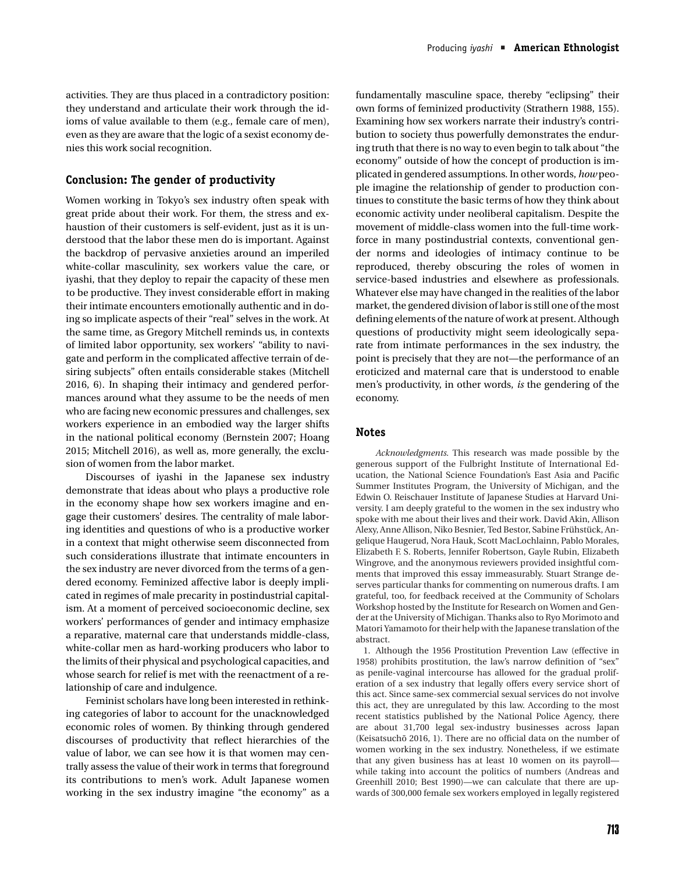activities. They are thus placed in a contradictory position: they understand and articulate their work through the idioms of value available to them (e.g., female care of men), even as they are aware that the logic of a sexist economy denies this work social recognition.

#### **Conclusion: The gender of productivity**

Women working in Tokyo's sex industry often speak with great pride about their work. For them, the stress and exhaustion of their customers is self-evident, just as it is understood that the labor these men do is important. Against the backdrop of pervasive anxieties around an imperiled white-collar masculinity, sex workers value the care, or iyashi, that they deploy to repair the capacity of these men to be productive. They invest considerable effort in making their intimate encounters emotionally authentic and in doing so implicate aspects of their "real" selves in the work. At the same time, as Gregory Mitchell reminds us, in contexts of limited labor opportunity, sex workers' "ability to navigate and perform in the complicated affective terrain of desiring subjects" often entails considerable stakes (Mitchell 2016, 6). In shaping their intimacy and gendered performances around what they assume to be the needs of men who are facing new economic pressures and challenges, sex workers experience in an embodied way the larger shifts in the national political economy (Bernstein 2007; Hoang 2015; Mitchell 2016), as well as, more generally, the exclusion of women from the labor market.

Discourses of iyashi in the Japanese sex industry demonstrate that ideas about who plays a productive role in the economy shape how sex workers imagine and engage their customers' desires. The centrality of male laboring identities and questions of who is a productive worker in a context that might otherwise seem disconnected from such considerations illustrate that intimate encounters in the sex industry are never divorced from the terms of a gendered economy. Feminized affective labor is deeply implicated in regimes of male precarity in postindustrial capitalism. At a moment of perceived socioeconomic decline, sex workers' performances of gender and intimacy emphasize a reparative, maternal care that understands middle-class, white-collar men as hard-working producers who labor to the limits of their physical and psychological capacities, and whose search for relief is met with the reenactment of a relationship of care and indulgence.

Feminist scholars have long been interested in rethinking categories of labor to account for the unacknowledged economic roles of women. By thinking through gendered discourses of productivity that reflect hierarchies of the value of labor, we can see how it is that women may centrally assess the value of their work in terms that foreground its contributions to men's work. Adult Japanese women working in the sex industry imagine "the economy" as a fundamentally masculine space, thereby "eclipsing" their own forms of feminized productivity (Strathern 1988, 155). Examining how sex workers narrate their industry's contribution to society thus powerfully demonstrates the enduring truth that there is no way to even begin to talk about "the economy" outside of how the concept of production is implicated in gendered assumptions. In other words, *how* people imagine the relationship of gender to production continues to constitute the basic terms of how they think about economic activity under neoliberal capitalism. Despite the movement of middle-class women into the full-time workforce in many postindustrial contexts, conventional gender norms and ideologies of intimacy continue to be reproduced, thereby obscuring the roles of women in service-based industries and elsewhere as professionals. Whatever else may have changed in the realities of the labor market, the gendered division of labor is still one of the most defining elements of the nature of work at present. Although questions of productivity might seem ideologically separate from intimate performances in the sex industry, the point is precisely that they are not—the performance of an eroticized and maternal care that is understood to enable men's productivity, in other words, *is* the gendering of the economy.

#### **Notes**

*Acknowledgments.* This research was made possible by the generous support of the Fulbright Institute of International Education, the National Science Foundation's East Asia and Pacific Summer Institutes Program, the University of Michigan, and the Edwin O. Reischauer Institute of Japanese Studies at Harvard University. I am deeply grateful to the women in the sex industry who spoke with me about their lives and their work. David Akin, Allison Alexy, Anne Allison, Niko Besnier, Ted Bestor, Sabine Frühstück, Angelique Haugerud, Nora Hauk, Scott MacLochlainn, Pablo Morales, Elizabeth F. S. Roberts, Jennifer Robertson, Gayle Rubin, Elizabeth Wingrove, and the anonymous reviewers provided insightful comments that improved this essay immeasurably. Stuart Strange deserves particular thanks for commenting on numerous drafts. I am grateful, too, for feedback received at the Community of Scholars Workshop hosted by the Institute for Research on Women and Gender at the University of Michigan. Thanks also to Ryo Morimoto and Matori Yamamoto for their help with the Japanese translation of the abstract.

1. Although the 1956 Prostitution Prevention Law (effective in 1958) prohibits prostitution, the law's narrow definition of "sex" as penile-vaginal intercourse has allowed for the gradual proliferation of a sex industry that legally offers every service short of this act. Since same-sex commercial sexual services do not involve this act, they are unregulated by this law. According to the most recent statistics published by the National Police Agency, there are about 31,700 legal sex-industry businesses across Japan (Keisatsuchō 2016, 1). There are no official data on the number of women working in the sex industry. Nonetheless, if we estimate that any given business has at least 10 women on its payroll while taking into account the politics of numbers (Andreas and Greenhill 2010; Best 1990)—we can calculate that there are upwards of 300,000 female sex workers employed in legally registered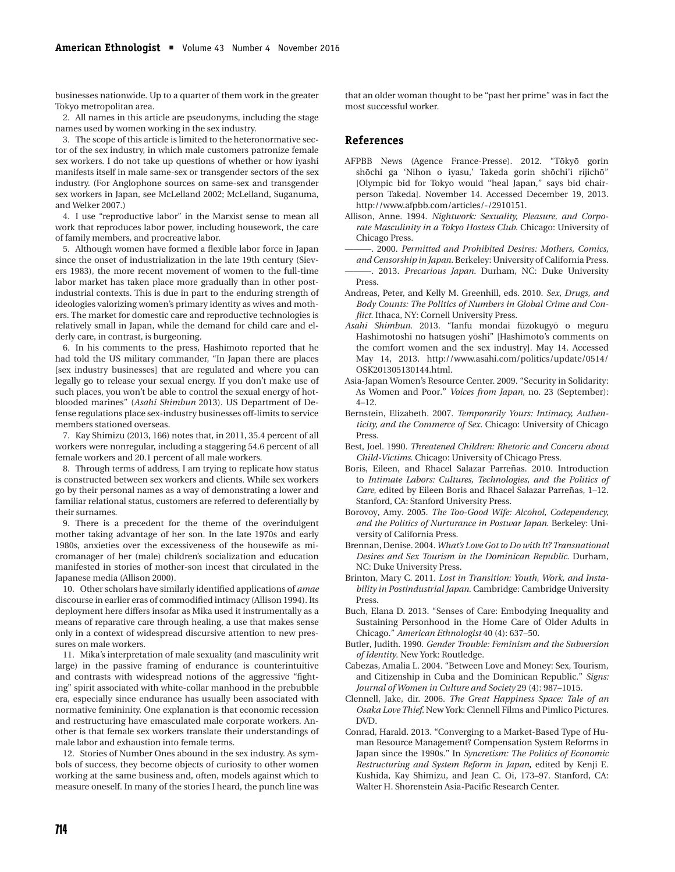businesses nationwide. Up to a quarter of them work in the greater Tokyo metropolitan area.

2. All names in this article are pseudonyms, including the stage names used by women working in the sex industry.

3. The scope of this article is limited to the heteronormative sector of the sex industry, in which male customers patronize female sex workers. I do not take up questions of whether or how iyashi manifests itself in male same-sex or transgender sectors of the sex industry. (For Anglophone sources on same-sex and transgender sex workers in Japan, see McLelland 2002; McLelland, Suganuma, and Welker 2007.)

4. I use "reproductive labor" in the Marxist sense to mean all work that reproduces labor power, including housework, the care of family members, and procreative labor.

5. Although women have formed a flexible labor force in Japan since the onset of industrialization in the late 19th century (Sievers 1983), the more recent movement of women to the full-time labor market has taken place more gradually than in other postindustrial contexts. This is due in part to the enduring strength of ideologies valorizing women's primary identity as wives and mothers. The market for domestic care and reproductive technologies is relatively small in Japan, while the demand for child care and elderly care, in contrast, is burgeoning.

6. In his comments to the press, Hashimoto reported that he had told the US military commander, "In Japan there are places [sex industry businesses] that are regulated and where you can legally go to release your sexual energy. If you don't make use of such places, you won't be able to control the sexual energy of hotblooded marines" (*Asahi Shimbun* 2013). US Department of Defense regulations place sex-industry businesses off-limits to service members stationed overseas.

7. Kay Shimizu (2013, 166) notes that, in 2011, 35.4 percent of all workers were nonregular, including a staggering 54.6 percent of all female workers and 20.1 percent of all male workers.

8. Through terms of address, I am trying to replicate how status is constructed between sex workers and clients. While sex workers go by their personal names as a way of demonstrating a lower and familiar relational status, customers are referred to deferentially by their surnames.

9. There is a precedent for the theme of the overindulgent mother taking advantage of her son. In the late 1970s and early 1980s, anxieties over the excessiveness of the housewife as micromanager of her (male) children's socialization and education manifested in stories of mother-son incest that circulated in the Japanese media (Allison 2000).

10. Other scholars have similarly identified applications of *amae* discourse in earlier eras of commodified intimacy (Allison 1994). Its deployment here differs insofar as Mika used it instrumentally as a means of reparative care through healing, a use that makes sense only in a context of widespread discursive attention to new pressures on male workers.

11. Mika's interpretation of male sexuality (and masculinity writ large) in the passive framing of endurance is counterintuitive and contrasts with widespread notions of the aggressive "fighting" spirit associated with white-collar manhood in the prebubble era, especially since endurance has usually been associated with normative femininity. One explanation is that economic recession and restructuring have emasculated male corporate workers. Another is that female sex workers translate their understandings of male labor and exhaustion into female terms.

12. Stories of Number Ones abound in the sex industry. As symbols of success, they become objects of curiosity to other women working at the same business and, often, models against which to measure oneself. In many of the stories I heard, the punch line was

that an older woman thought to be "past her prime" was in fact the most successful worker.

#### **References**

- AFPBB News (Agence France-Presse). 2012. "Tōkyō gorin shōchi ga 'Nihon o iyasu,' Takeda gorin shōchi'i rijichō" [Olympic bid for Tokyo would "heal Japan," says bid chairperson Takeda]. November 14. Accessed December 19, 2013. http://www.afpbb.com/articles/-/2910151.
- Allison, Anne. 1994. *Nightwork: Sexuality, Pleasure, and Corporate Masculinity in a Tokyo Hostess Club*. Chicago: University of Chicago Press.

———. 2000. *Permitted and Prohibited Desires: Mothers, Comics,*

- *and Censorship in Japan*. Berkeley: University of California Press. ———. 2013. *Precarious Japan*. Durham, NC: Duke University Press.
- Andreas, Peter, and Kelly M. Greenhill, eds. 2010. *Sex, Drugs, and Body Counts: The Politics of Numbers in Global Crime and Conflict*. Ithaca, NY: Cornell University Press.
- Asahi Shimbun. 2013. "Ianfu mondai fuzokugyō o meguru Hashimotoshi no hatsugen yōshi" [Hashimoto's comments on the comfort women and the sex industry]. May 14. Accessed May 14, 2013. http://www.asahi.com/politics/update/0514/ OSK201305130144.html.
- Asia-Japan Women's Resource Center. 2009. "Security in Solidarity: As Women and Poor." *Voices from Japan*, no. 23 (September): 4–12.
- Bernstein, Elizabeth. 2007. *Temporarily Yours: Intimacy, Authenticity, and the Commerce of Sex*. Chicago: University of Chicago Press.
- Best, Joel. 1990. *Threatened Children: Rhetoric and Concern about Child-Victims*. Chicago: University of Chicago Press.
- Boris, Eileen, and Rhacel Salazar Parreñas. 2010. Introduction to *Intimate Labors: Cultures, Technologies, and the Politics of Care*, edited by Eileen Boris and Rhacel Salazar Parreñas, 1-12. Stanford, CA: Stanford University Press.
- Borovoy, Amy. 2005. *The Too-Good Wife: Alcohol, Codependency, and the Politics of Nurturance in Postwar Japan*. Berkeley: University of California Press.
- Brennan, Denise. 2004. *What's Love Got to Do with It? Transnational Desires and Sex Tourism in the Dominican Republic*. Durham, NC: Duke University Press.
- Brinton, Mary C. 2011. *Lost in Transition: Youth, Work, and Instability in Postindustrial Japan*. Cambridge: Cambridge University Press.
- Buch, Elana D. 2013. "Senses of Care: Embodying Inequality and Sustaining Personhood in the Home Care of Older Adults in Chicago." *American Ethnologist* 40 (4): 637–50.
- Butler, Judith. 1990. *Gender Trouble: Feminism and the Subversion of Identity*. New York: Routledge.
- Cabezas, Amalia L. 2004. "Between Love and Money: Sex, Tourism, and Citizenship in Cuba and the Dominican Republic." *Signs: Journal of Women in Culture and Society* 29 (4): 987–1015.
- Clennell, Jake, dir. 2006. *The Great Happiness Space: Tale of an Osaka Love Thief*. New York: Clennell Films and Pimlico Pictures. DVD.
- Conrad, Harald. 2013. "Converging to a Market-Based Type of Human Resource Management? Compensation System Reforms in Japan since the 1990s." In *Syncretism: The Politics of Economic Restructuring and System Reform in Japan*, edited by Kenji E. Kushida, Kay Shimizu, and Jean C. Oi, 173–97. Stanford, CA: Walter H. Shorenstein Asia-Pacific Research Center.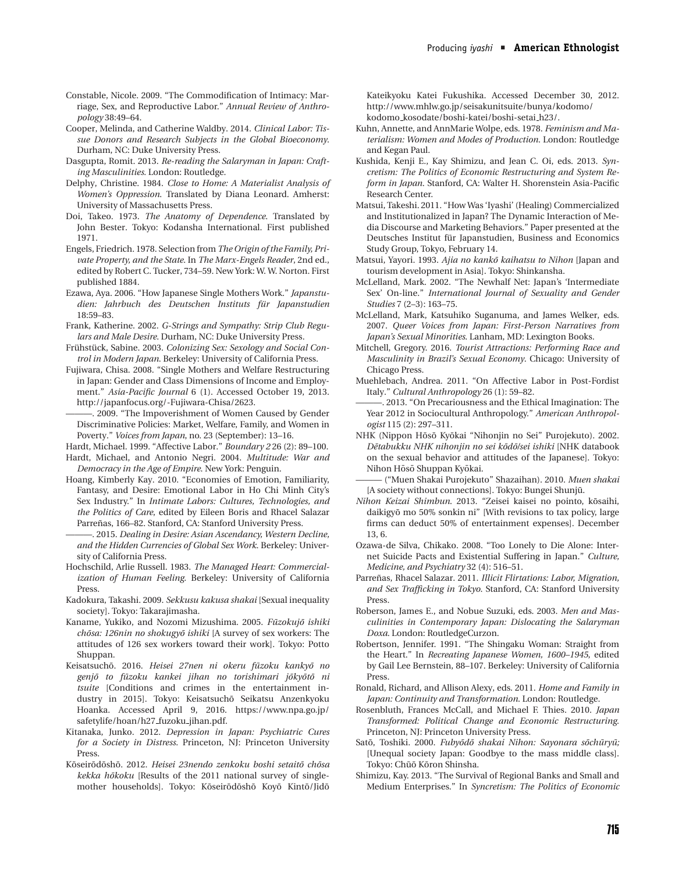- Constable, Nicole. 2009. "The Commodification of Intimacy: Marriage, Sex, and Reproductive Labor." *Annual Review of Anthropology* 38:49–64.
- Cooper, Melinda, and Catherine Waldby. 2014. *Clinical Labor: Tissue Donors and Research Subjects in the Global Bioeconomy*. Durham, NC: Duke University Press.
- Dasgupta, Romit. 2013. *Re-reading the Salaryman in Japan: Crafting Masculinities*. London: Routledge.
- Delphy, Christine. 1984. *Close to Home: A Materialist Analysis of Women's Oppression*. Translated by Diana Leonard. Amherst: University of Massachusetts Press.
- Doi, Takeo. 1973. *The Anatomy of Dependence*. Translated by John Bester. Tokyo: Kodansha International. First published 1971.
- Engels, Friedrich. 1978. Selection from *The Origin of the Family, Private Property, and the State*. In *The Marx-Engels Reader*, 2nd ed., edited by Robert C. Tucker, 734–59. New York: W. W. Norton. First published 1884.
- Ezawa, Aya. 2006. "How Japanese Single Mothers Work." *Japanstudien: Jahrbuch des Deutschen Instituts fur Japanstudien ¨* 18:59–83.
- Frank, Katherine. 2002. *G-Strings and Sympathy: Strip Club Regulars and Male Desire*. Durham, NC: Duke University Press.
- Frühstück, Sabine. 2003. Colonizing Sex: Sexology and Social Con*trol in Modern Japan*. Berkeley: University of California Press.
- Fujiwara, Chisa. 2008. "Single Mothers and Welfare Restructuring in Japan: Gender and Class Dimensions of Income and Employment." *Asia-Pacific Journal* 6 (1). Accessed October 19, 2013. http://japanfocus.org/-Fujiwara-Chisa/2623.
	- . 2009. "The Impoverishment of Women Caused by Gender Discriminative Policies: Market, Welfare, Family, and Women in Poverty." *Voices from Japan*, no. 23 (September): 13–16.

Hardt, Michael. 1999. "Affective Labor." *Boundary 2* 26 (2): 89–100.

- Hardt, Michael, and Antonio Negri. 2004. *Multitude: War and Democracy in the Age of Empire*. New York: Penguin.
- Hoang, Kimberly Kay. 2010. "Economies of Emotion, Familiarity, Fantasy, and Desire: Emotional Labor in Ho Chi Minh City's Sex Industry." In *Intimate Labors: Cultures, Technologies, and the Politics of Care*, edited by Eileen Boris and Rhacel Salazar Parreñas, 166–82. Stanford, CA: Stanford University Press.

———. 2015. *Dealing in Desire: Asian Ascendancy, Western Decline, and the Hidden Currencies of Global Sex Work*. Berkeley: University of California Press.

- Hochschild, Arlie Russell. 1983. *The Managed Heart: Commercialization of Human Feeling*. Berkeley: University of California Press.
- Kadokura, Takashi. 2009. *Sekkusu kakusa shakai* [Sexual inequality society]. Tokyo: Takarajimasha.
- Kaname, Yukiko, and Nozomi Mizushima. 2005. *Fūzokujō ishiki chōsa: 126nin no shokugyō ishiki* [A survey of sex workers: The attitudes of 126 sex workers toward their work]. Tokyo: Potto Shuppan.
- Keisatsuchō. 2016. Heisei 27nen ni okeru fūzoku kankyō no  $genj\bar{o}$  *to fūzoku kankei jihan no torishimari j* $\bar{o}$ *kyoto ni tsuite* [Conditions and crimes in the entertainment industry in 2015]. Tokyo: Keisatsuchō Seikatsu Anzenkyoku Hoanka. Accessed April 9, 2016. https://www.npa.go.jp/ safetylife/hoan/h27 fuzoku jihan.pdf.
- Kitanaka, Junko. 2012. *Depression in Japan: Psychiatric Cures for a Society in Distress*. Princeton, NJ: Princeton University Press.
- Kōseirōdōshō. 2012. Heisei 23nendo zenkoku boshi setaitō chōsa *kekka hōkoku* [Results of the 2011 national survey of singlemother households]. Tokyo: Kōseirōdōshō Koyō Kintō/Jidō

Kateikyoku Katei Fukushika. Accessed December 30, 2012. http://www.mhlw.go.jp/seisakunitsuite/bunya/kodomo/ kodomo kosodate/boshi-katei/boshi-setai h23/.

- Kuhn, Annette, and AnnMarie Wolpe, eds. 1978. *Feminism and Materialism: Women and Modes of Production*. London: Routledge and Kegan Paul.
- Kushida, Kenji E., Kay Shimizu, and Jean C. Oi, eds. 2013. *Syncretism: The Politics of Economic Restructuring and System Reform in Japan*. Stanford, CA: Walter H. Shorenstein Asia-Pacific Research Center.
- Matsui, Takeshi. 2011. "How Was 'Iyashi' (Healing) Commercialized and Institutionalized in Japan? The Dynamic Interaction of Media Discourse and Marketing Behaviors." Paper presented at the Deutsches Institut für Japanstudien, Business and Economics Study Group, Tokyo, February 14.
- Matsui, Yayori. 1993. Ajia no kankō kaihatsu to Nihon [Japan and tourism development in Asia]. Tokyo: Shinkansha.
- McLelland, Mark. 2002. "The Newhalf Net: Japan's 'Intermediate Sex' On-line." *International Journal of Sexuality and Gender Studies* 7 (2–3): 163–75.
- McLelland, Mark, Katsuhiko Suganuma, and James Welker, eds. 2007. *Queer Voices from Japan: First-Person Narratives from Japan's Sexual Minorities*. Lanham, MD: Lexington Books.
- Mitchell, Gregory. 2016. *Tourist Attractions: Performing Race and Masculinity in Brazil's Sexual Economy*. Chicago: University of Chicago Press.
- Muehlebach, Andrea. 2011. "On Affective Labor in Post-Fordist Italy." *Cultural Anthropology* 26 (1): 59–82.
- -. 2013. "On Precariousness and the Ethical Imagination: The Year 2012 in Sociocultural Anthropology." *American Anthropologist* 115 (2): 297–311.
- NHK (Nippon Hōsō Kyōkai "Nihonjin no Sei" Purojekuto). 2002. *Detabukku NHK nihonjin no sei k ¯ od¯ o/sei ishiki ¯* [NHK databook on the sexual behavior and attitudes of the Japanese]. Tokyo: Nihon Hōsō Shuppan Kyōkai.
- ——— ("Muen Shakai Purojekuto" Shazaihan). 2010. *Muen shakai* [A society without connections]. Tokyo: Bungei Shunju. ¯
- *Nihon Keizai Shimbun*. 2013. "Zeisei kaisei no pointo, kōsaihi, daikigyō mo 50% sonkin ni" [With revisions to tax policy, large firms can deduct 50% of entertainment expenses]. December 13, 6.
- Ozawa-de Silva, Chikako. 2008. "Too Lonely to Die Alone: Internet Suicide Pacts and Existential Suffering in Japan." *Culture, Medicine, and Psychiatry* 32 (4): 516–51.
- Parreñas, Rhacel Salazar. 2011. *Illicit Flirtations: Labor, Migration, and Sex Trafficking in Tokyo*. Stanford, CA: Stanford University Press.
- Roberson, James E., and Nobue Suzuki, eds. 2003. *Men and Masculinities in Contemporary Japan: Dislocating the Salaryman Doxa*. London: RoutledgeCurzon.
- Robertson, Jennifer. 1991. "The Shingaku Woman: Straight from the Heart." In *Recreating Japanese Women, 1600–1945*, edited by Gail Lee Bernstein, 88–107. Berkeley: University of California Press.
- Ronald, Richard, and Allison Alexy, eds. 2011. *Home and Family in Japan: Continuity and Transformation*. London: Routledge.
- Rosenbluth, Frances McCall, and Michael F. Thies. 2010. *Japan Transformed: Political Change and Economic Restructuring*. Princeton, NJ: Princeton University Press.
- Satō, Toshiki. 2000. Fubyōdō shakai Nihon: Sayonara sōchūryū; [Unequal society Japan: Goodbye to the mass middle class]. Tokyo: Chūō Kōron Shinsha.
- Shimizu, Kay. 2013. "The Survival of Regional Banks and Small and Medium Enterprises." In *Syncretism: The Politics of Economic*